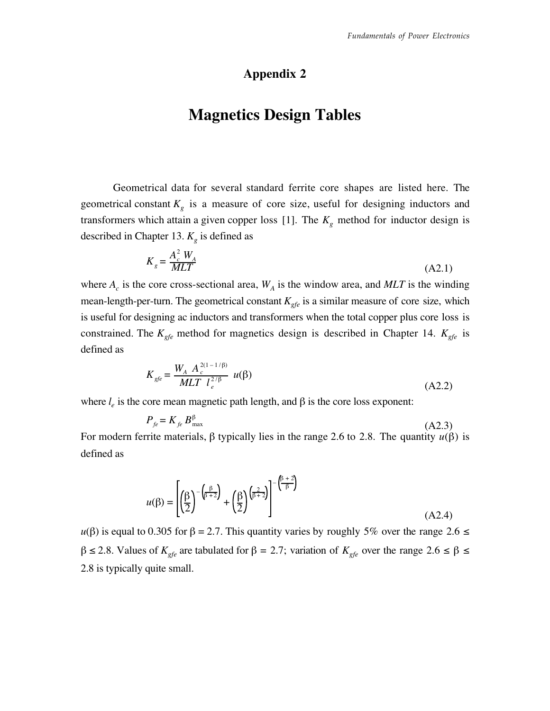#### Appendix 2

# Magnetics Design Tables

Geometrical data for several standard ferrite core shapes are listed here. The geometrical constant  $K_g$  is a measure of core size, useful for designing inductors and transformers which attain a given copper loss [1]. The  $K<sub>g</sub>$  method for inductor design is described in Chapter 13.  $K<sub>g</sub>$  is defined as

$$
K_g = \frac{A_c^2 W_A}{MLT}
$$
\n(A2.1)

where  $A_c$  is the core cross-sectional area,  $W_A$  is the window area, and MLT is the winding mean-length-per-turn. The geometrical constant  $K_{\text{efe}}$  is a similar measure of core size, which is useful for designing ac inductors and transformers when the total copper plus core loss is constrained. The  $K_{gfe}$  method for magnetics design is described in Chapter 14.  $K_{gfe}$  is defined as

$$
K_{gfe} = \frac{W_A A_c^{2(1-1/\beta)}}{MLT \ l_e^{2/\beta}} \ u(\beta)
$$
 (A2.2)

where  $l_e$  is the core mean magnetic path length, and  $\beta$  is the core loss exponent:

$$
P_{fe} = K_{fe} B_{\text{max}}^{\beta} \tag{A2.3}
$$

For modern ferrite materials, β typically lies in the range 2.6 to 2.8. The quantity  $u(β)$  is defined as

$$
u(\beta) = \left[ \left( \frac{\beta}{2} \right)^{-\left( \frac{\beta}{\beta + 2} \right)} + \left( \frac{\beta}{2} \right)^{\left( \frac{\beta}{\beta + 2} \right)} \right]^{-\left( \frac{\beta + 2}{\beta} \right)}
$$
(A2.4)

 $u(\beta)$  is equal to 0.305 for  $\beta = 2.7$ . This quantity varies by roughly 5% over the range 2.6  $\leq$  $β ≤ 2.8$ . Values of  $K_{gfe}$  are tabulated for  $β = 2.7$ ; variation of  $K_{gfe}$  over the range  $2.6 ≤ β ≤$ 2.8 is typically quite small.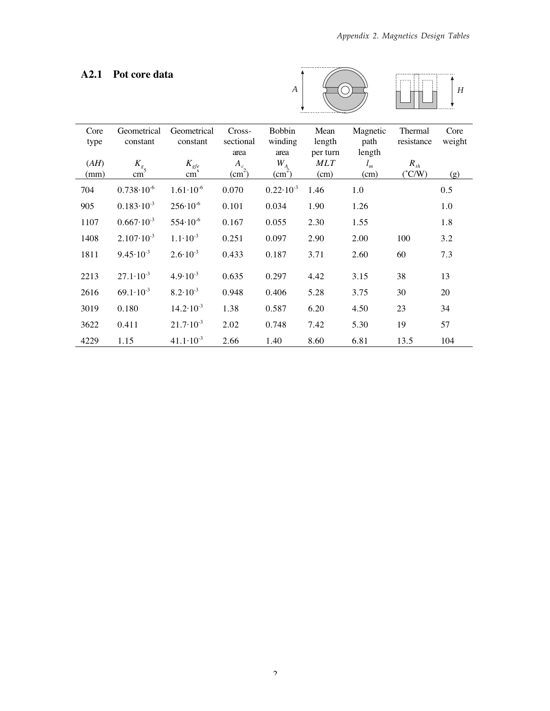#### A2.1 Pot core data





| Core<br>type | Geometrical<br>constant | Geometrical<br>constant   | Cross-<br>sectional<br>area | <b>Bobbin</b><br>winding<br>area | Mean<br>length<br>per turn | Magnetic<br>path<br>length | Thermal<br>resistance | Core<br>weight |
|--------------|-------------------------|---------------------------|-----------------------------|----------------------------------|----------------------------|----------------------------|-----------------------|----------------|
| (AH)         | $K_{g}$                 | $K_{\text{gfe}}$          | $A_c$                       | $W_A$                            | <b>MLT</b>                 | $l_m$                      | $R_{th}$              |                |
| (mm)         | cm <sup>-</sup>         | $\widetilde{\text{cm}}^x$ | (cm <sup>2</sup> )          | $\text{(cm}^2\text{)}$           | (cm)                       | (cm)                       | $(^{\circ}$ C/W)      | (g)            |
| 704          | $0.738 \cdot 10^{-6}$   | $1.61 \cdot 10^{-6}$      | 0.070                       | $0.22 \cdot 10^{-3}$             | 1.46                       | 1.0                        |                       | 0.5            |
| 905          | $0.183 \cdot 10^{-3}$   | $256 \cdot 10^{-6}$       | 0.101                       | 0.034                            | 1.90                       | 1.26                       |                       | 1.0            |
| 1107         | $0.667 \cdot 10^{-3}$   | $554 \cdot 10^{-6}$       | 0.167                       | 0.055                            | 2.30                       | 1.55                       |                       | 1.8            |
| 1408         | $2.107 \cdot 10^{-3}$   | $1.1 \cdot 10^{-3}$       | 0.251                       | 0.097                            | 2.90                       | 2.00                       | 100                   | 3.2            |
| 1811         | $9.45 \cdot 10^{-3}$    | $2.6 \cdot 10^{-3}$       | 0.433                       | 0.187                            | 3.71                       | 2.60                       | 60                    | 7.3            |
| 2213         | $27.1 \cdot 10^{-3}$    | $4.9 \cdot 10^{-3}$       | 0.635                       | 0.297                            | 4.42                       | 3.15                       | 38                    | 13             |
|              |                         |                           |                             |                                  |                            |                            |                       |                |
| 2616         | $69.1 \cdot 10^{-3}$    | $8.2 \cdot 10^{-3}$       | 0.948                       | 0.406                            | 5.28                       | 3.75                       | 30                    | 20             |
| 3019         | 0.180                   | $14.2 \cdot 10^{-3}$      | 1.38                        | 0.587                            | 6.20                       | 4.50                       | 23                    | 34             |
| 3622         | 0.411                   | $21.7 \cdot 10^{-3}$      | 2.02                        | 0.748                            | 7.42                       | 5.30                       | 19                    | 57             |
| 4229         | 1.15                    | $41.1 \cdot 10^{-3}$      | 2.66                        | 1.40                             | 8.60                       | 6.81                       | 13.5                  | 104            |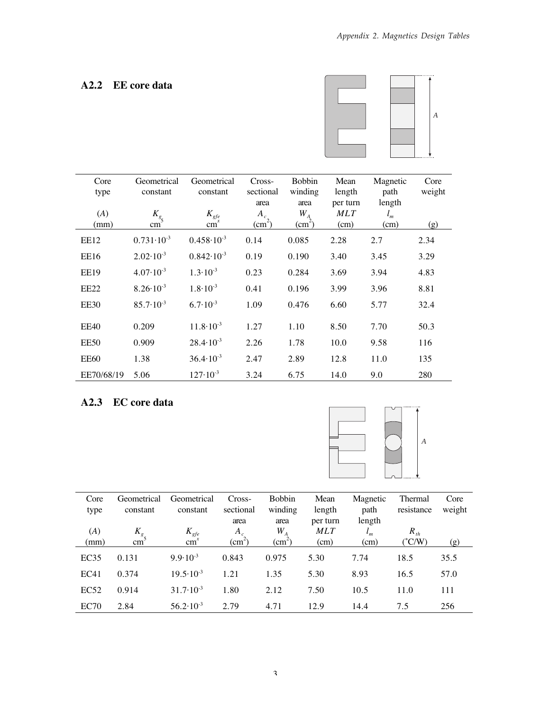#### A2.2 EE core data



| Core<br>type     | Geometrical<br>constant | Geometrical<br>constant  | Cross-<br>sectional<br>area | <b>Bobbin</b><br>winding<br>area       | Mean<br>length<br>per turn | Magnetic<br>path<br>length | Core<br>weight |
|------------------|-------------------------|--------------------------|-----------------------------|----------------------------------------|----------------------------|----------------------------|----------------|
| (A)              | $K_{g}$                 | $K_{\text{gfe}}$         | $A_c$                       | $W_A$                                  | <b>MLT</b>                 | $l_m$                      |                |
| (mm)             | cm                      | $\overline{\text{cm}}^x$ | $\text{cm}^2$ )             | $\left(\underline{\text{cm}}^2\right)$ | (cm)                       | (cm)                       | (g)            |
| EE12             | $0.731 \cdot 10^{-3}$   | $0.458 \cdot 10^{-3}$    | 0.14                        | 0.085                                  | 2.28                       | 2.7                        | 2.34           |
| <b>EE16</b>      | $2.02 \cdot 10^{-3}$    | $0.842 \cdot 10^{-3}$    | 0.19                        | 0.190                                  | 3.40                       | 3.45                       | 3.29           |
| <b>EE19</b>      | $4.07 \cdot 10^{-3}$    | $1.3 \cdot 10^{-3}$      | 0.23                        | 0.284                                  | 3.69                       | 3.94                       | 4.83           |
| EE <sub>22</sub> | $8.26 \cdot 10^{-3}$    | $1.8 \cdot 10^{-3}$      | 0.41                        | 0.196                                  | 3.99                       | 3.96                       | 8.81           |
| <b>EE30</b>      | $85.7 \cdot 10^{-3}$    | $6.7 \cdot 10^{-3}$      | 1.09                        | 0.476                                  | 6.60                       | 5.77                       | 32.4           |
| <b>EE40</b>      | 0.209                   | $11.8 \cdot 10^{-3}$     | 1.27                        | 1.10                                   | 8.50                       | 7.70                       | 50.3           |
| EE50             | 0.909                   | $28.4 \cdot 10^{-3}$     | 2.26                        | 1.78                                   | 10.0                       | 9.58                       | 116            |
| EE60             | 1.38                    | $36.4 \cdot 10^{-3}$     | 2.47                        | 2.89                                   | 12.8                       | 11.0                       | 135            |
| EE70/68/19       | 5.06                    | $127 \cdot 10^{-3}$      | 3.24                        | 6.75                                   | 14.0                       | 9.0                        | 280            |

### A2.3 EC core data



| Core<br>type | Geometrical<br>constant | Geometrical<br>constant | Cross-<br>sectional | <b>Bobbin</b><br>winding | Mean<br>length         | Magnetic<br>path    | Thermal<br>resistance | Core<br>weight |
|--------------|-------------------------|-------------------------|---------------------|--------------------------|------------------------|---------------------|-----------------------|----------------|
| (A)          | $K_{g_{\varsigma}}$     | $K_{gfe}$               | area<br>$A_c$       | area<br>$W_{A}$          | per turn<br><b>MLT</b> | length<br>$\iota_m$ | $R_{th}$              |                |
| (mm)         | cm                      | cm <sub>1</sub>         | $\text{cm}^-$       | $\text{cm}^-$            | (cm)                   | (cm)                | $(^{\circ}C/W)$       | (g)            |
| EC35         | 0.131                   | $9.9 \cdot 10^{-3}$     | 0.843               | 0.975                    | 5.30                   | 7.74                | 18.5                  | 35.5           |
| EC41         | 0.374                   | $19.5 \cdot 10^{-3}$    | 1.21                | 1.35                     | 5.30                   | 8.93                | 16.5                  | 57.0           |
| EC52         | 0.914                   | $31.7 \cdot 10^{-3}$    | 1.80                | 2.12                     | 7.50                   | 10.5                | 11.0                  | 111            |
| EC70         | 2.84                    | $56.2 \cdot 10^{-3}$    | 2.79                | 4.71                     | 12.9                   | 14.4                | 7.5                   | 256            |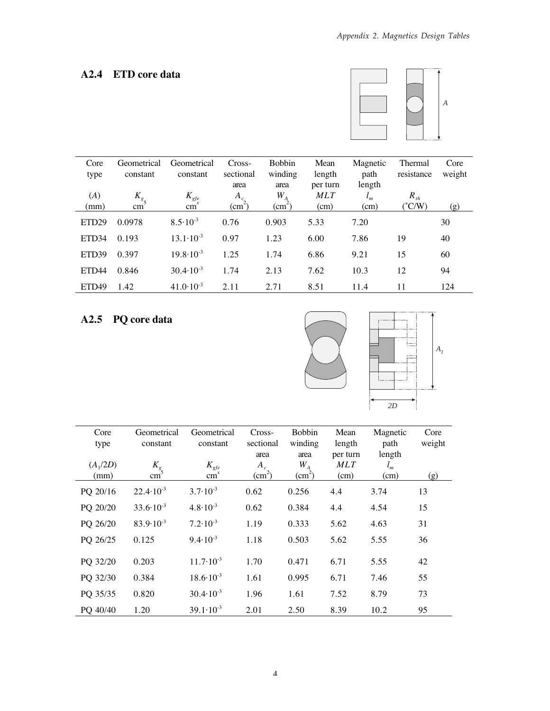### A2.4 ETD core data



| Core              | Geometrical     | Geometrical           | Cross-             | <b>Bobbin</b>      | Mean       | Magnetic | Thermal           | Core   |
|-------------------|-----------------|-----------------------|--------------------|--------------------|------------|----------|-------------------|--------|
| type              | constant        | constant              | sectional          | winding            | length     | path     | resistance        | weight |
|                   |                 |                       | area               | area               | per turn   | length   |                   |        |
| (A)               | $K_{g}$         | $K_{\text{gfe}}$      | $A_c$              | $W^{\,}_{A}$       | <b>MLT</b> | $l_m$    | $R$ <sub>th</sub> |        |
| (mm)              | cm <sup>3</sup> | $\tilde{\text{cm}}^x$ | (cm <sup>2</sup> ) | (cm <sup>2</sup> ) | (cm)       | (cm)     | $(^{\circ}C/W)$   | (g)    |
| ETD <sub>29</sub> | 0.0978          | $8.5 \cdot 10^{-3}$   | 0.76               | 0.903              | 5.33       | 7.20     |                   | 30     |
| ETD <sub>34</sub> | 0.193           | $13.1 \cdot 10^{-3}$  | 0.97               | 1.23               | 6.00       | 7.86     | 19                | 40     |
| ETD <sub>39</sub> | 0.397           | $19.8 \cdot 10^{-3}$  | 1.25               | 1.74               | 6.86       | 9.21     | 15                | 60     |
| ETD <sub>44</sub> | 0.846           | $30.4 \cdot 10^{-3}$  | 1.74               | 2.13               | 7.62       | 10.3     | 12                | 94     |
| ETD <sub>49</sub> | 1.42            | $41.0 \cdot 10^{-3}$  | 2.11               | 2.71               | 8.51       | 11.4     | 11                | 124    |

## A2.5 PQ core data



| Core<br>type<br>$(A_1/2D)$ | Geometrical<br>constant    | Geometrical<br>constant<br>$K_{\text{gfe}}$ | Cross-<br>sectional<br>area<br>$A_c$ | <b>Bobbin</b><br>winding<br>area<br>$W_{A}$ | Mean<br>length<br>per turn<br><b>MLT</b> | Magnetic<br>path<br>length<br>$l_m$ | Core<br>weight |
|----------------------------|----------------------------|---------------------------------------------|--------------------------------------|---------------------------------------------|------------------------------------------|-------------------------------------|----------------|
| (mm)                       | $K_{g}$<br>cm <sup>-</sup> | cm <sup>x</sup>                             | $\text{(cm}^2)$                      | $\text{(cm}^2)$                             | (cm)                                     | (cm)                                | (g)            |
| PQ 20/16                   | $22.4 \cdot 10^{-3}$       | $3.7 \cdot 10^{-3}$                         | 0.62                                 | 0.256                                       | 4.4                                      | 3.74                                | 13             |
| PQ 20/20                   | $33.6 \cdot 10^{-3}$       | $4.8 \cdot 10^{-3}$                         | 0.62                                 | 0.384                                       | 4.4                                      | 4.54                                | 15             |
| PQ 26/20                   | $83.9 \cdot 10^{-3}$       | $7.2 \cdot 10^{-3}$                         | 1.19                                 | 0.333                                       | 5.62                                     | 4.63                                | 31             |
| PQ 26/25                   | 0.125                      | $9.4 \cdot 10^{-3}$                         | 1.18                                 | 0.503                                       | 5.62                                     | 5.55                                | 36             |
| PQ 32/20                   | 0.203                      | $11.7 \cdot 10^{-3}$                        | 1.70                                 | 0.471                                       | 6.71                                     | 5.55                                | 42             |
| PQ 32/30                   | 0.384                      | $18.6 \cdot 10^{-3}$                        | 1.61                                 | 0.995                                       | 6.71                                     | 7.46                                | 55             |
| PQ 35/35                   | 0.820                      | $30.4 \cdot 10^{-3}$                        | 1.96                                 | 1.61                                        | 7.52                                     | 8.79                                | 73             |
| PQ 40/40                   | 1.20                       | $39.1 \cdot 10^{-3}$                        | 2.01                                 | 2.50                                        | 8.39                                     | 10.2                                | 95             |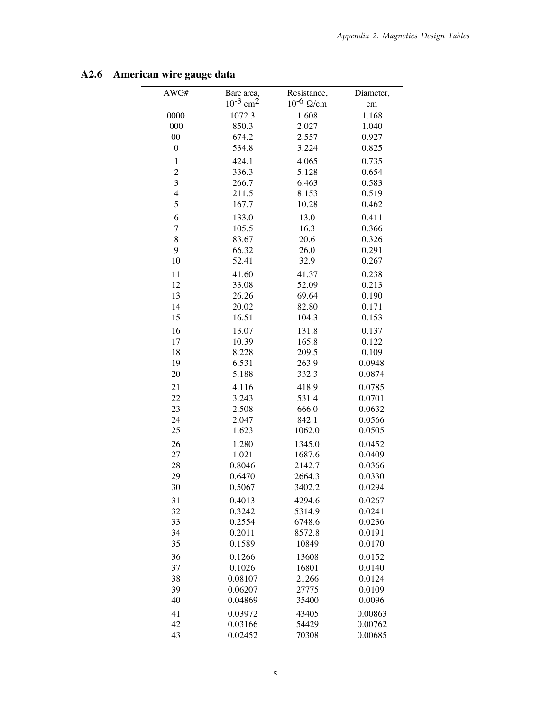| AWG#             | Bare area,<br>$10^{-3}$ cm <sup>2</sup> | Resistance,<br>$10^{-6}$ $\Omega$ /cm | Diameter,<br>cm |
|------------------|-----------------------------------------|---------------------------------------|-----------------|
| 0000             | 1072.3                                  | 1.608                                 | 1.168           |
| 000              | 850.3                                   | 2.027                                 | 1.040           |
| $00\,$           | 674.2                                   | 2.557                                 | 0.927           |
| $\boldsymbol{0}$ | 534.8                                   | 3.224                                 | 0.825           |
| $\,1$            | 424.1                                   | 4.065                                 | 0.735           |
| $\overline{c}$   | 336.3                                   | 5.128                                 | 0.654           |
| 3                | 266.7                                   | 6.463                                 | 0.583           |
| 4                | 211.5                                   | 8.153                                 | 0.519           |
| 5                | 167.7                                   | 10.28                                 | 0.462           |
| 6                | 133.0                                   | 13.0                                  | 0.411           |
| 7                | 105.5                                   | 16.3                                  | 0.366           |
| 8                | 83.67                                   | 20.6                                  | 0.326           |
| 9                | 66.32                                   | 26.0                                  | 0.291           |
| 10               | 52.41                                   | 32.9                                  | 0.267           |
| 11               | 41.60                                   | 41.37                                 | 0.238           |
| 12               | 33.08                                   | 52.09                                 | 0.213           |
| 13               | 26.26                                   | 69.64                                 | 0.190           |
| 14               | 20.02                                   | 82.80                                 | 0.171           |
| 15               | 16.51                                   | 104.3                                 | 0.153           |
| 16               | 13.07                                   | 131.8                                 | 0.137           |
| 17               | 10.39                                   | 165.8                                 | 0.122           |
| 18               | 8.228                                   | 209.5                                 | 0.109           |
| 19               | 6.531                                   | 263.9                                 | 0.0948          |
| 20               | 5.188                                   | 332.3                                 | 0.0874          |
| 21               | 4.116                                   | 418.9                                 | 0.0785          |
| 22               | 3.243                                   | 531.4                                 | 0.0701          |
| 23               | 2.508                                   | 666.0                                 | 0.0632          |
| 24               | 2.047                                   | 842.1                                 | 0.0566          |
| 25               | 1.623                                   | 1062.0                                | 0.0505          |
| 26               | 1.280                                   | 1345.0                                | 0.0452          |
| 27               | 1.021                                   | 1687.6                                | 0.0409          |
| 28               | 0.8046                                  | 2142.7                                | 0.0366          |
| 29               | 0.6470                                  | 2664.3                                | 0.0330          |
| 30               | 0.5067                                  | 3402.2                                | 0.0294          |
| 31               | 0.4013                                  | 4294.6                                | 0.0267          |
| 32               | 0.3242                                  | 5314.9                                | 0.0241          |
| 33               | 0.2554                                  | 6748.6                                | 0.0236          |
| 34               | 0.2011                                  | 8572.8                                | 0.0191          |
| 35               | 0.1589                                  | 10849                                 | 0.0170          |
| 36               | 0.1266                                  | 13608                                 | 0.0152          |
| 37               | 0.1026                                  | 16801                                 | 0.0140          |
| 38               | 0.08107                                 | 21266                                 | 0.0124          |
| 39               | 0.06207                                 | 27775                                 | 0.0109          |
| 40               | 0.04869                                 | 35400                                 | 0.0096          |
| 41               | 0.03972                                 | 43405                                 | 0.00863         |
| 42               | 0.03166                                 | 54429                                 | 0.00762         |
| 43               | 0.02452                                 | 70308                                 | 0.00685         |

### A2.6 American wire gauge data